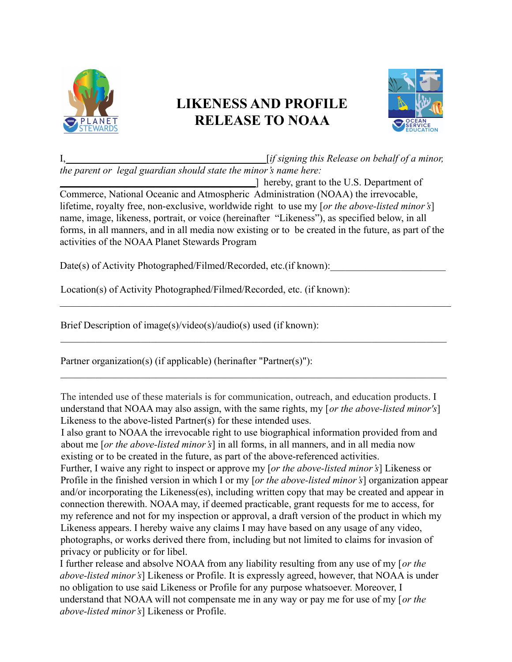

## **LIKENESS AND PROFILE RELEASE TO NOAA**



I,\_\_\_\_\_\_\_\_\_\_\_\_\_\_\_\_\_\_\_\_\_\_\_\_\_\_\_\_\_\_\_\_\_\_\_\_\_\_\_\_[*if signing this Release on behalf of a minor, the parent or legal guardian should state the minor's name here:*

\_\_\_\_\_\_\_\_\_\_\_\_\_\_\_\_\_\_\_\_\_\_\_\_\_\_\_\_\_\_\_\_\_\_\_\_\_\_\_] hereby, grant to the U.S. Department of Commerce, National Oceanic and Atmospheric Administration (NOAA) the irrevocable, lifetime, royalty free, non-exclusive, worldwide right to use my [*or the above-listed minor's*] name, image, likeness, portrait, or voice (hereinafter "Likeness"), as specified below, in all forms, in all manners, and in all media now existing or to be created in the future, as part of the activities of the NOAA Planet Stewards Program

 $\mathcal{L}_\mathcal{L} = \{ \mathcal{L}_\mathcal{L} = \{ \mathcal{L}_\mathcal{L} = \{ \mathcal{L}_\mathcal{L} = \{ \mathcal{L}_\mathcal{L} = \{ \mathcal{L}_\mathcal{L} = \{ \mathcal{L}_\mathcal{L} = \{ \mathcal{L}_\mathcal{L} = \{ \mathcal{L}_\mathcal{L} = \{ \mathcal{L}_\mathcal{L} = \{ \mathcal{L}_\mathcal{L} = \{ \mathcal{L}_\mathcal{L} = \{ \mathcal{L}_\mathcal{L} = \{ \mathcal{L}_\mathcal{L} = \{ \mathcal{L}_\mathcal{$ 

 $\mathcal{L}_\mathcal{L} = \{ \mathcal{L}_\mathcal{L} = \{ \mathcal{L}_\mathcal{L} = \{ \mathcal{L}_\mathcal{L} = \{ \mathcal{L}_\mathcal{L} = \{ \mathcal{L}_\mathcal{L} = \{ \mathcal{L}_\mathcal{L} = \{ \mathcal{L}_\mathcal{L} = \{ \mathcal{L}_\mathcal{L} = \{ \mathcal{L}_\mathcal{L} = \{ \mathcal{L}_\mathcal{L} = \{ \mathcal{L}_\mathcal{L} = \{ \mathcal{L}_\mathcal{L} = \{ \mathcal{L}_\mathcal{L} = \{ \mathcal{L}_\mathcal{$ 

 $\mathcal{L}_\mathcal{L} = \{ \mathcal{L}_\mathcal{L} = \{ \mathcal{L}_\mathcal{L} = \{ \mathcal{L}_\mathcal{L} = \{ \mathcal{L}_\mathcal{L} = \{ \mathcal{L}_\mathcal{L} = \{ \mathcal{L}_\mathcal{L} = \{ \mathcal{L}_\mathcal{L} = \{ \mathcal{L}_\mathcal{L} = \{ \mathcal{L}_\mathcal{L} = \{ \mathcal{L}_\mathcal{L} = \{ \mathcal{L}_\mathcal{L} = \{ \mathcal{L}_\mathcal{L} = \{ \mathcal{L}_\mathcal{L} = \{ \mathcal{L}_\mathcal{$ 

Date(s) of Activity Photographed/Filmed/Recorded, etc.(if known):

Location(s) of Activity Photographed/Filmed/Recorded, etc. (if known):

Brief Description of image(s)/video(s)/audio(s) used (if known):

Partner organization(s) (if applicable) (herinafter "Partner(s)"):

The intended use of these materials is for communication, outreach, and education products. I understand that NOAA may also assign, with the same rights, my [*or the above-listed minor's*] Likeness to the above-listed Partner(s) for these intended uses.

I also grant to NOAA the irrevocable right to use biographical information provided from and about me [*or the above-listed minor's*] in all forms, in all manners, and in all media now existing or to be created in the future, as part of the above-referenced activities.

Further, I waive any right to inspect or approve my [*or the above-listed minor's*] Likeness or Profile in the finished version in which I or my [*or the above-listed minor's*] organization appear and/or incorporating the Likeness(es), including written copy that may be created and appear in connection therewith. NOAA may, if deemed practicable, grant requests for me to access, for my reference and not for my inspection or approval, a draft version of the product in which my Likeness appears. I hereby waive any claims I may have based on any usage of any video, photographs, or works derived there from, including but not limited to claims for invasion of privacy or publicity or for libel.

I further release and absolve NOAA from any liability resulting from any use of my [*or the above-listed minor's*] Likeness or Profile. It is expressly agreed, however, that NOAA is under no obligation to use said Likeness or Profile for any purpose whatsoever. Moreover, I understand that NOAA will not compensate me in any way or pay me for use of my [*or the above-listed minor's*] Likeness or Profile.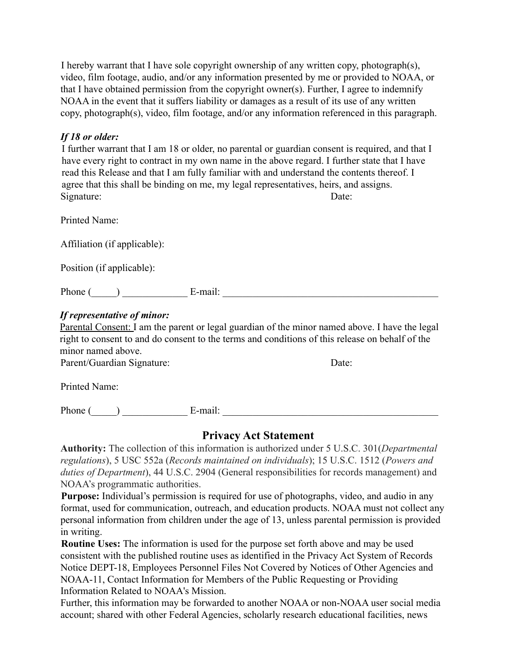I hereby warrant that I have sole copyright ownership of any written copy, photograph(s), video, film footage, audio, and/or any information presented by me or provided to NOAA, or that I have obtained permission from the copyright owner(s). Further, I agree to indemnify NOAA in the event that it suffers liability or damages as a result of its use of any written copy, photograph(s), video, film footage, and/or any information referenced in this paragraph.

## *If 18 or older:*

I further warrant that I am 18 or older, no parental or guardian consent is required, and that I have every right to contract in my own name in the above regard. I further state that I have read this Release and that I am fully familiar with and understand the contents thereof. I agree that this shall be binding on me, my legal representatives, heirs, and assigns. Signature: Date: Date:

Printed Name:

Affiliation (if applicable):

Position (if applicable):

Phone  $(\_\_\_\_\_\_\$  E-mail:  $\_\_\_\_\$ 

## *If representative of minor:*

Parental Consent: I am the parent or legal guardian of the minor named above. I have the legal right to consent to and do consent to the terms and conditions of this release on behalf of the minor named above.

Parent/Guardian Signature: Date:

Printed Name:

Phone ( ) E-mail:

## **Privacy Act Statement**

**Authority:** The collection of this information is authorized under 5 U.S.C. 301(*Departmental regulations*), 5 USC 552a (*Records maintained on individuals*); 15 U.S.C. 1512 (*Powers and duties of Department*), 44 U.S.C. 2904 (General responsibilities for records management) and NOAA's programmatic authorities.

**Purpose:** Individual's permission is required for use of photographs, video, and audio in any format, used for communication, outreach, and education products. NOAA must not collect any personal information from children under the age of 13, unless parental permission is provided in writing.

**Routine Uses:** The information is used for the purpose set forth above and may be used consistent with the published routine uses as identified in the Privacy Act System of Records Notice DEPT-18, Employees Personnel Files Not Covered by Notices of Other Agencies and NOAA-11, Contact Information for Members of the Public Requesting or Providing Information Related to NOAA's Mission.

Further, this information may be forwarded to another NOAA or non-NOAA user social media account; shared with other Federal Agencies, scholarly research educational facilities, news